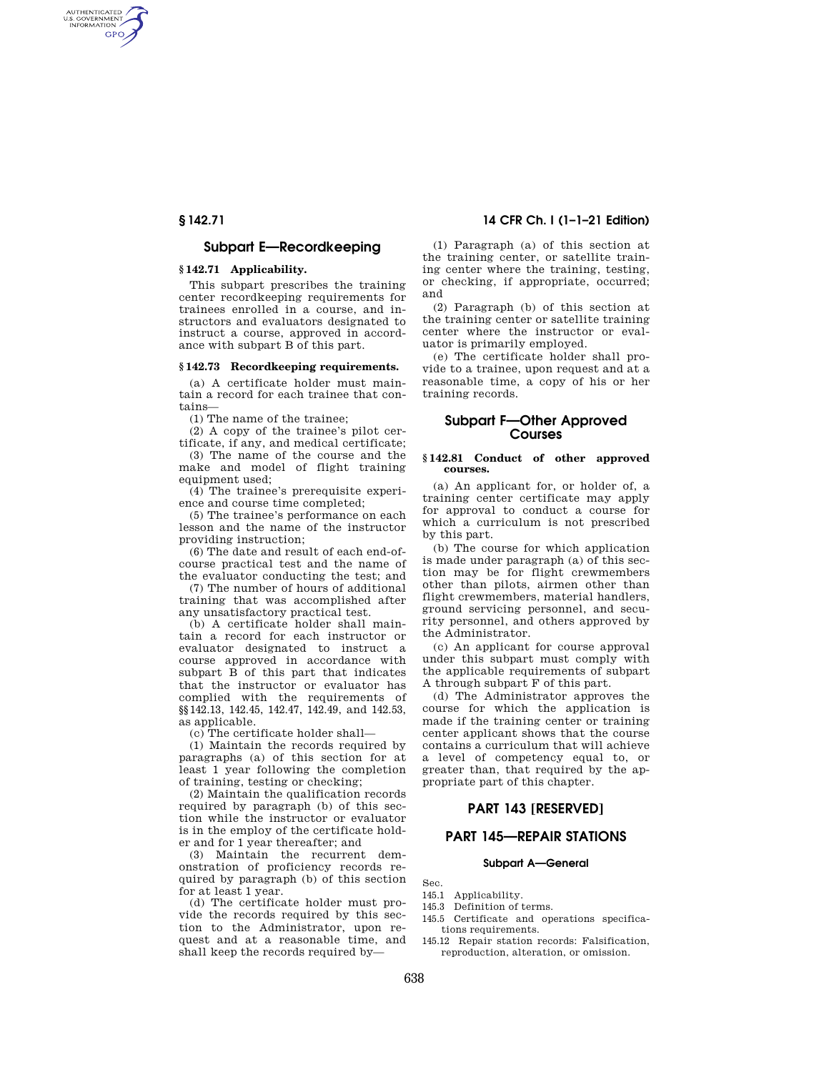# **§ 142.71 14 CFR Ch. I (1–1–21 Edition)**

AUTHENTICATED<br>U.S. GOVERNMENT<br>INFORMATION **GPO** 

# **Subpart E—Recordkeeping**

# **§ 142.71 Applicability.**

This subpart prescribes the training center recordkeeping requirements for trainees enrolled in a course, and instructors and evaluators designated to instruct a course, approved in accordance with subpart B of this part.

#### **§ 142.73 Recordkeeping requirements.**

(a) A certificate holder must maintain a record for each trainee that contains—

(1) The name of the trainee;

(2) A copy of the trainee's pilot certificate, if any, and medical certificate;

(3) The name of the course and the make and model of flight training equipment used;

(4) The trainee's prerequisite experience and course time completed;

(5) The trainee's performance on each lesson and the name of the instructor providing instruction;

(6) The date and result of each end-ofcourse practical test and the name of the evaluator conducting the test; and

(7) The number of hours of additional training that was accomplished after any unsatisfactory practical test.

(b) A certificate holder shall maintain a record for each instructor or evaluator designated to instruct a course approved in accordance with subpart B of this part that indicates that the instructor or evaluator has complied with the requirements of §§142.13, 142.45, 142.47, 142.49, and 142.53, as applicable.

(c) The certificate holder shall—

(1) Maintain the records required by paragraphs (a) of this section for at least 1 year following the completion of training, testing or checking;

(2) Maintain the qualification records required by paragraph (b) of this section while the instructor or evaluator is in the employ of the certificate holder and for 1 year thereafter; and

(3) Maintain the recurrent demonstration of proficiency records required by paragraph (b) of this section for at least 1 year.

(d) The certificate holder must provide the records required by this section to the Administrator, upon request and at a reasonable time, and shall keep the records required by—

(1) Paragraph (a) of this section at the training center, or satellite training center where the training, testing, or checking, if appropriate, occurred; and

(2) Paragraph (b) of this section at the training center or satellite training center where the instructor or evaluator is primarily employed.

(e) The certificate holder shall provide to a trainee, upon request and at a reasonable time, a copy of his or her training records.

# **Subpart F—Other Approved Courses**

## **§ 142.81 Conduct of other approved courses.**

(a) An applicant for, or holder of, a training center certificate may apply for approval to conduct a course for which a curriculum is not prescribed by this part.

(b) The course for which application is made under paragraph (a) of this section may be for flight crewmembers other than pilots, airmen other than flight crewmembers, material handlers, ground servicing personnel, and security personnel, and others approved by the Administrator.

(c) An applicant for course approval under this subpart must comply with the applicable requirements of subpart A through subpart F of this part.

(d) The Administrator approves the course for which the application is made if the training center or training center applicant shows that the course contains a curriculum that will achieve a level of competency equal to, or greater than, that required by the appropriate part of this chapter.

# **PART 143 [RESERVED]**

# **PART 145—REPAIR STATIONS**

#### **Subpart A—General**

Sec.

- 145.1 Applicability.
- 145.3 Definition of terms.
- 145.5 Certificate and operations specifications requirements.
- 145.12 Repair station records: Falsification, reproduction, alteration, or omission.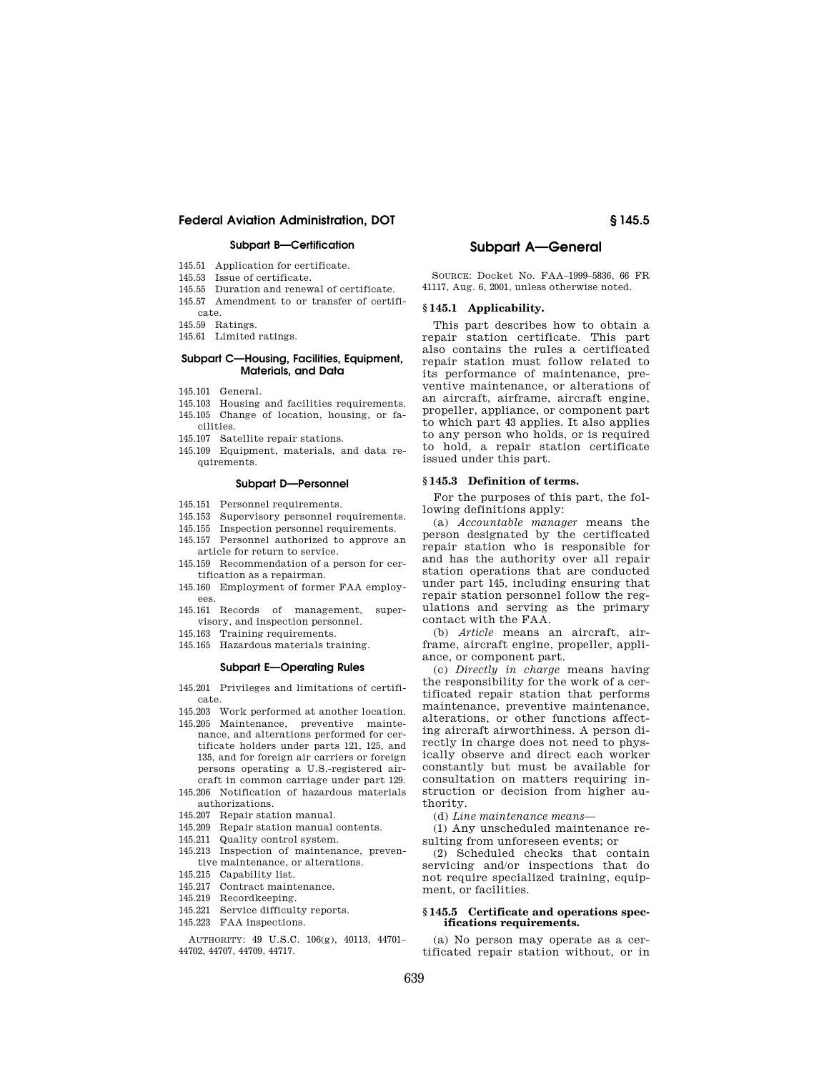### **Subpart B—Certification**

- 145.51 Application for certificate.
- 145.53 Issue of certificate.
- 145.55 Duration and renewal of certificate.
- 145.57 Amendment to or transfer of certificate.
- 145.59 Ratings.
- 145.61 Limited ratings.

# **Subpart C—Housing, Facilities, Equipment, Materials, and Data**

- 145.101 General.
- 145.103 Housing and facilities requirements.
- 145.105 Change of location, housing, or facilities.
- 145.107 Satellite repair stations.
- 145.109 Equipment, materials, and data requirements.

#### **Subpart D—Personnel**

- 145.151 Personnel requirements.
- 145.153 Supervisory personnel requirements.
- 145.155 Inspection personnel requirements.
- 145.157 Personnel authorized to approve an article for return to service.
- 145.159 Recommendation of a person for certification as a repairman.
- 145.160 Employment of former FAA employees.
- 145.161 Records of management, supervisory, and inspection personnel.
- 145.163 Training requirements.
- 145.165 Hazardous materials training.

#### **Subpart E—Operating Rules**

- 145.201 Privileges and limitations of certificate.
- 145.203 Work performed at another location.
- 145.205 Maintenance, preventive maintenance, and alterations performed for certificate holders under parts 121, 125, and 135, and for foreign air carriers or foreign persons operating a U.S.-registered aircraft in common carriage under part 129.
- 145.206 Notification of hazardous materials authorizations.
- 145.207 Repair station manual.
- 145.209 Repair station manual contents.
- 145.211 Quality control system.
- 145.213 Inspection of maintenance, preventive maintenance, or alterations.
- 145.215 Capability list.
- 145.217 Contract maintenance.
- 145.219 Recordkeeping.
- 145.221 Service difficulty reports.
- 145.223 FAA inspections.

AUTHORITY: 49 U.S.C. 106(g), 40113, 44701– 44702, 44707, 44709, 44717.

# **Subpart A—General**

SOURCE: Docket No. FAA–1999–5836, 66 FR 41117, Aug. 6, 2001, unless otherwise noted.

#### **§ 145.1 Applicability.**

This part describes how to obtain a repair station certificate. This part also contains the rules a certificated repair station must follow related to its performance of maintenance, preventive maintenance, or alterations of an aircraft, airframe, aircraft engine, propeller, appliance, or component part to which part 43 applies. It also applies to any person who holds, or is required to hold, a repair station certificate issued under this part.

# **§ 145.3 Definition of terms.**

For the purposes of this part, the following definitions apply:

(a) *Accountable manager* means the person designated by the certificated repair station who is responsible for and has the authority over all repair station operations that are conducted under part 145, including ensuring that repair station personnel follow the regulations and serving as the primary contact with the FAA.

(b) *Article* means an aircraft, airframe, aircraft engine, propeller, appliance, or component part.

(c) *Directly in charge* means having the responsibility for the work of a certificated repair station that performs maintenance, preventive maintenance, alterations, or other functions affecting aircraft airworthiness. A person directly in charge does not need to physically observe and direct each worker constantly but must be available for consultation on matters requiring instruction or decision from higher authority.

(d) *Line maintenance means*—

(1) Any unscheduled maintenance resulting from unforeseen events; or

(2) Scheduled checks that contain servicing and/or inspections that do not require specialized training, equipment, or facilities.

## **§ 145.5 Certificate and operations specifications requirements.**

(a) No person may operate as a certificated repair station without, or in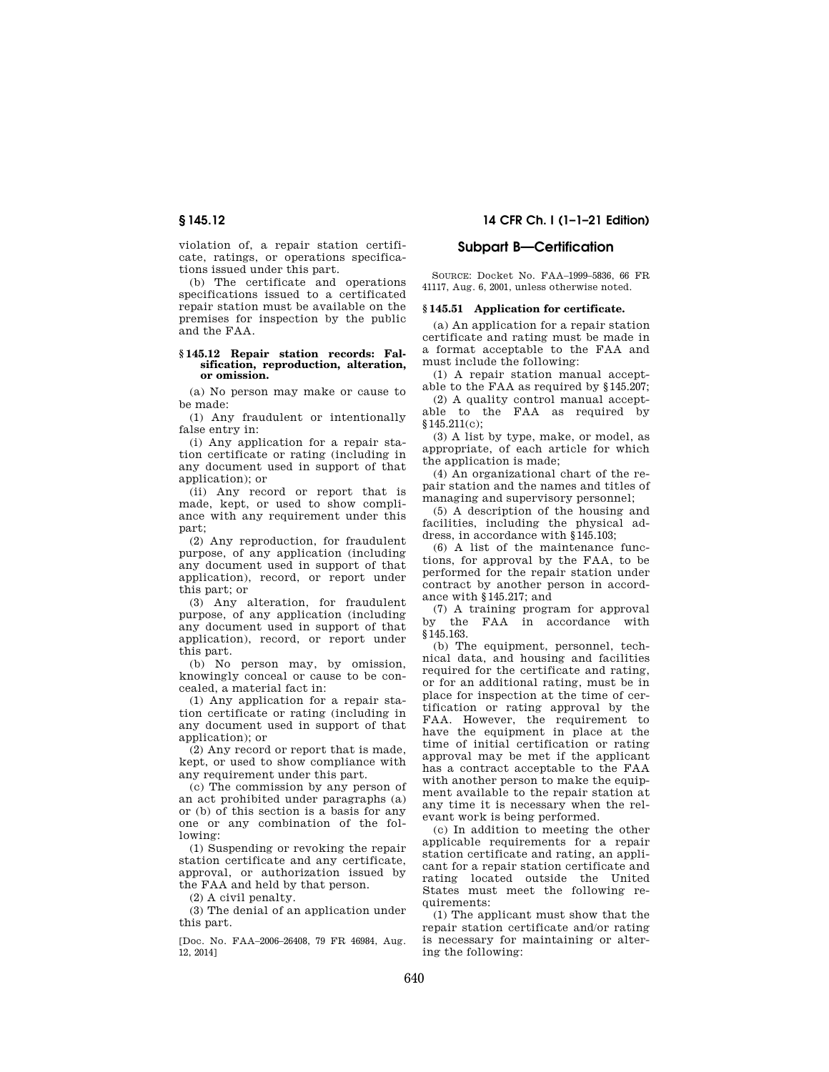violation of, a repair station certificate, ratings, or operations specifications issued under this part.

(b) The certificate and operations specifications issued to a certificated repair station must be available on the premises for inspection by the public and the FAA.

#### **§ 145.12 Repair station records: Falsification, reproduction, alteration, or omission.**

(a) No person may make or cause to be made:

(1) Any fraudulent or intentionally false entry in:

(i) Any application for a repair station certificate or rating (including in any document used in support of that application); or

(ii) Any record or report that is made, kept, or used to show compliance with any requirement under this part;

(2) Any reproduction, for fraudulent purpose, of any application (including any document used in support of that application), record, or report under this part; or

(3) Any alteration, for fraudulent purpose, of any application (including any document used in support of that application), record, or report under this part.

(b) No person may, by omission, knowingly conceal or cause to be concealed, a material fact in:

(1) Any application for a repair station certificate or rating (including in any document used in support of that application); or

(2) Any record or report that is made, kept, or used to show compliance with any requirement under this part.

(c) The commission by any person of an act prohibited under paragraphs (a) or (b) of this section is a basis for any one or any combination of the following:

(1) Suspending or revoking the repair station certificate and any certificate, approval, or authorization issued by the FAA and held by that person.

(2) A civil penalty.

(3) The denial of an application under this part.

[Doc. No. FAA–2006–26408, 79 FR 46984, Aug. 12, 2014]

# **§ 145.12 14 CFR Ch. I (1–1–21 Edition)**

# **Subpart B—Certification**

SOURCE: Docket No. FAA–1999–5836, 66 FR 41117, Aug. 6, 2001, unless otherwise noted.

## **§ 145.51 Application for certificate.**

(a) An application for a repair station certificate and rating must be made in a format acceptable to the FAA and must include the following:

(1) A repair station manual acceptable to the FAA as required by §145.207;

(2) A quality control manual acceptable to the FAA as required by §145.211(c);

(3) A list by type, make, or model, as appropriate, of each article for which the application is made;

(4) An organizational chart of the repair station and the names and titles of managing and supervisory personnel;

(5) A description of the housing and facilities, including the physical address, in accordance with §145.103;

(6) A list of the maintenance functions, for approval by the FAA, to be performed for the repair station under contract by another person in accordance with §145.217; and

(7) A training program for approval by the FAA in accordance with §145.163.

(b) The equipment, personnel, technical data, and housing and facilities required for the certificate and rating, or for an additional rating, must be in place for inspection at the time of certification or rating approval by the FAA. However, the requirement to have the equipment in place at the time of initial certification or rating approval may be met if the applicant has a contract acceptable to the FAA with another person to make the equipment available to the repair station at any time it is necessary when the relevant work is being performed.

(c) In addition to meeting the other applicable requirements for a repair station certificate and rating, an applicant for a repair station certificate and rating located outside the United States must meet the following requirements:

(1) The applicant must show that the repair station certificate and/or rating is necessary for maintaining or altering the following: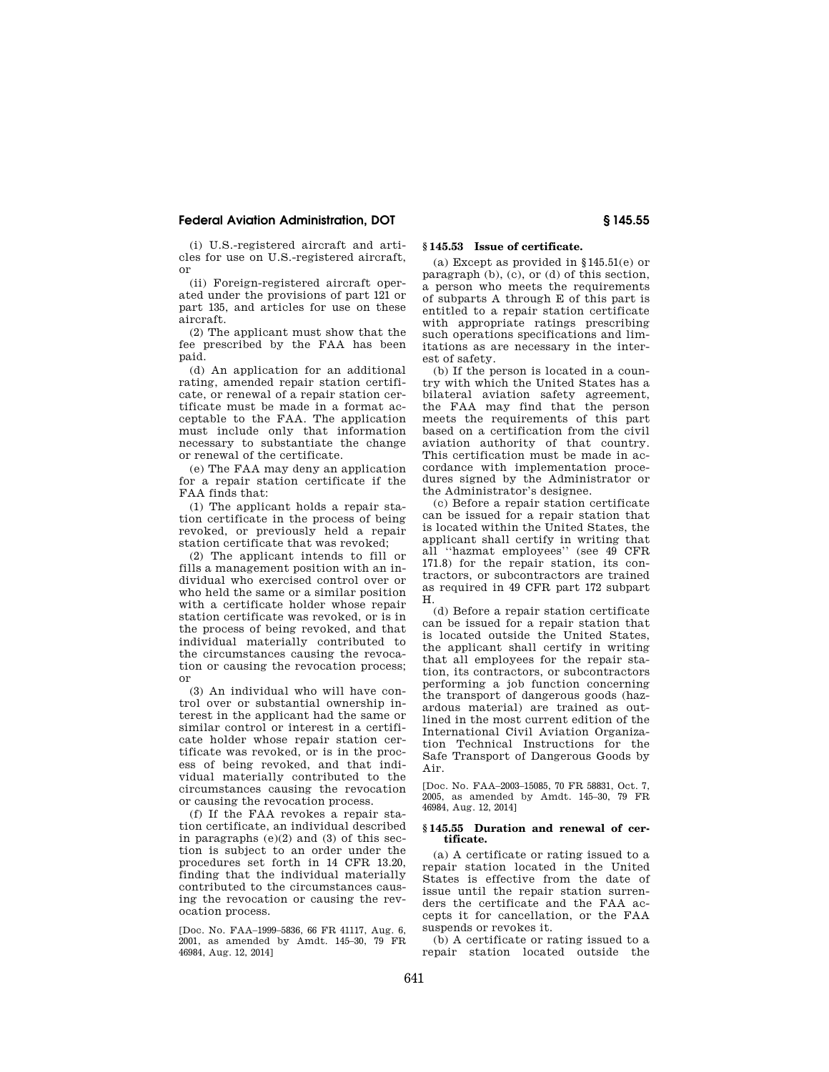(i) U.S.-registered aircraft and articles for use on U.S.-registered aircraft, or

(ii) Foreign-registered aircraft operated under the provisions of part 121 or part 135, and articles for use on these aircraft.

(2) The applicant must show that the fee prescribed by the FAA has been paid.

(d) An application for an additional rating, amended repair station certificate, or renewal of a repair station certificate must be made in a format acceptable to the FAA. The application must include only that information necessary to substantiate the change or renewal of the certificate.

(e) The FAA may deny an application for a repair station certificate if the FAA finds that:

(1) The applicant holds a repair station certificate in the process of being revoked, or previously held a repair station certificate that was revoked;

(2) The applicant intends to fill or fills a management position with an individual who exercised control over or who held the same or a similar position with a certificate holder whose repair station certificate was revoked, or is in the process of being revoked, and that individual materially contributed to the circumstances causing the revocation or causing the revocation process; or

(3) An individual who will have control over or substantial ownership interest in the applicant had the same or similar control or interest in a certificate holder whose repair station certificate was revoked, or is in the process of being revoked, and that individual materially contributed to the circumstances causing the revocation or causing the revocation process.

(f) If the FAA revokes a repair station certificate, an individual described in paragraphs (e)(2) and (3) of this section is subject to an order under the procedures set forth in 14 CFR 13.20, finding that the individual materially contributed to the circumstances causing the revocation or causing the revocation process.

[Doc. No. FAA–1999–5836, 66 FR 41117, Aug. 6, 2001, as amended by Amdt. 145–30, 79 FR 46984, Aug. 12, 2014]

# **§ 145.53 Issue of certificate.**

(a) Except as provided in §145.51(e) or paragraph (b), (c), or (d) of this section, a person who meets the requirements of subparts A through E of this part is entitled to a repair station certificate with appropriate ratings prescribing such operations specifications and limitations as are necessary in the interest of safety.

(b) If the person is located in a country with which the United States has a bilateral aviation safety agreement, the FAA may find that the person meets the requirements of this part based on a certification from the civil aviation authority of that country. This certification must be made in accordance with implementation procedures signed by the Administrator or the Administrator's designee.

(c) Before a repair station certificate can be issued for a repair station that is located within the United States, the applicant shall certify in writing that all ''hazmat employees'' (see 49 CFR 171.8) for the repair station, its contractors, or subcontractors are trained as required in 49 CFR part 172 subpart H.

(d) Before a repair station certificate can be issued for a repair station that is located outside the United States, the applicant shall certify in writing that all employees for the repair station, its contractors, or subcontractors performing a job function concerning the transport of dangerous goods (hazardous material) are trained as outlined in the most current edition of the International Civil Aviation Organization Technical Instructions for the Safe Transport of Dangerous Goods by Air.

[Doc. No. FAA–2003–15085, 70 FR 58831, Oct. 7, 2005, as amended by Amdt. 145–30, 79 FR 46984, Aug. 12, 2014]

### **§ 145.55 Duration and renewal of certificate.**

(a) A certificate or rating issued to a repair station located in the United States is effective from the date of issue until the repair station surrenders the certificate and the FAA accepts it for cancellation, or the FAA suspends or revokes it.

(b) A certificate or rating issued to a repair station located outside the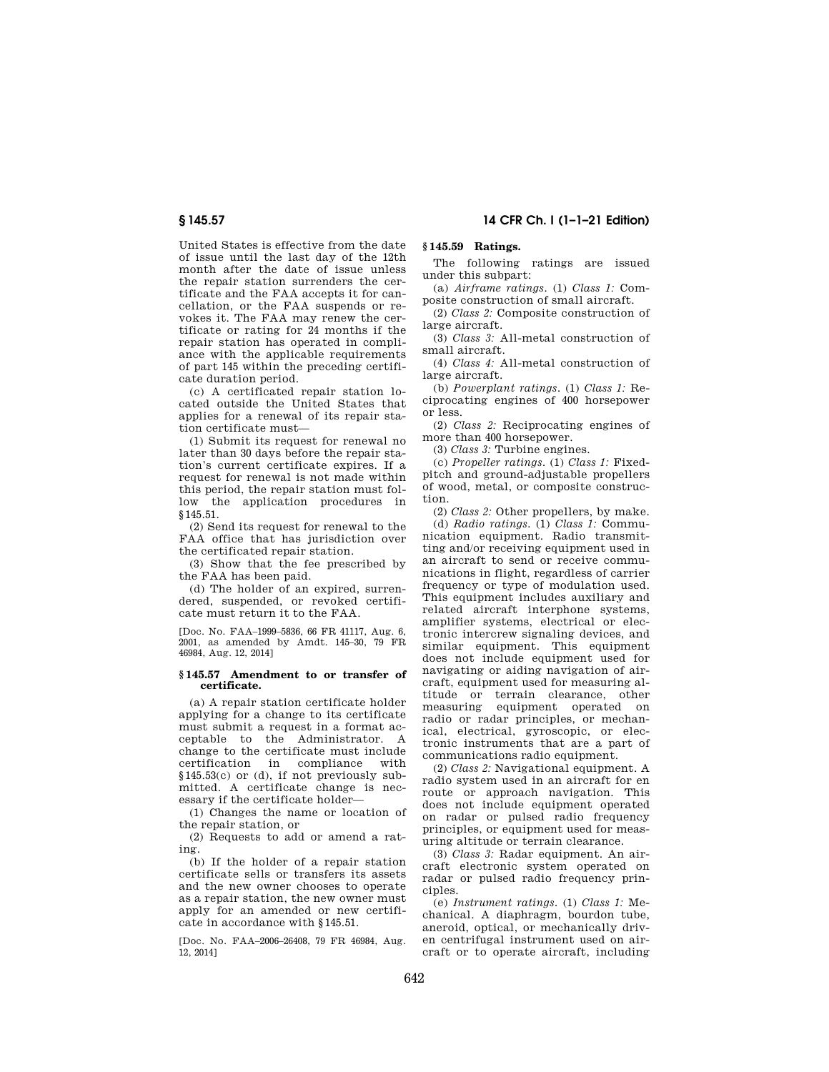# **§ 145.57 14 CFR Ch. I (1–1–21 Edition)**

United States is effective from the date of issue until the last day of the 12th month after the date of issue unless the repair station surrenders the certificate and the FAA accepts it for cancellation, or the FAA suspends or revokes it. The FAA may renew the certificate or rating for 24 months if the repair station has operated in compliance with the applicable requirements of part 145 within the preceding certificate duration period.

(c) A certificated repair station located outside the United States that applies for a renewal of its repair station certificate must—

(1) Submit its request for renewal no later than 30 days before the repair station's current certificate expires. If a request for renewal is not made within this period, the repair station must follow the application procedures in §145.51.

(2) Send its request for renewal to the FAA office that has jurisdiction over the certificated repair station.

(3) Show that the fee prescribed by the FAA has been paid.

(d) The holder of an expired, surrendered, suspended, or revoked certificate must return it to the FAA.

[Doc. No. FAA–1999–5836, 66 FR 41117, Aug. 6, 2001, as amended by Amdt. 145–30, 79 FR 46984, Aug. 12, 2014]

### **§ 145.57 Amendment to or transfer of certificate.**

(a) A repair station certificate holder applying for a change to its certificate must submit a request in a format acceptable to the Administrator. A change to the certificate must include certification in compliance with §145.53(c) or (d), if not previously submitted. A certificate change is necessary if the certificate holder—

(1) Changes the name or location of the repair station, or

(2) Requests to add or amend a rating.

(b) If the holder of a repair station certificate sells or transfers its assets and the new owner chooses to operate as a repair station, the new owner must apply for an amended or new certificate in accordance with §145.51.

[Doc. No. FAA–2006–26408, 79 FR 46984, Aug. 12, 2014]

# **§ 145.59 Ratings.**

The following ratings are issued under this subpart:

(a) *Airframe ratings.* (1) *Class 1:* Composite construction of small aircraft.

(2) *Class 2:* Composite construction of large aircraft.

(3) *Class 3:* All-metal construction of small aircraft.

(4) *Class 4:* All-metal construction of large aircraft.

(b) *Powerplant ratings.* (1) *Class 1:* Reciprocating engines of 400 horsepower or less.

(2) *Class 2:* Reciprocating engines of more than 400 horsepower.

(3) *Class 3:* Turbine engines.

(c) *Propeller ratings.* (1) *Class 1:* Fixedpitch and ground-adjustable propellers of wood, metal, or composite construction.

(2) *Class 2:* Other propellers, by make.

(d) *Radio ratings.* (1) *Class 1:* Communication equipment. Radio transmitting and/or receiving equipment used in an aircraft to send or receive communications in flight, regardless of carrier frequency or type of modulation used. This equipment includes auxiliary and related aircraft interphone systems, amplifier systems, electrical or electronic intercrew signaling devices, and similar equipment. This equipment does not include equipment used for navigating or aiding navigation of aircraft, equipment used for measuring altitude or terrain clearance, other<br>measuring equipment operated on equipment operated on radio or radar principles, or mechanical, electrical, gyroscopic, or electronic instruments that are a part of communications radio equipment.

(2) *Class 2:* Navigational equipment. A radio system used in an aircraft for en route or approach navigation. This does not include equipment operated on radar or pulsed radio frequency principles, or equipment used for measuring altitude or terrain clearance.

(3) *Class 3:* Radar equipment. An aircraft electronic system operated on radar or pulsed radio frequency principles.

(e) *Instrument ratings.* (1) *Class 1:* Mechanical. A diaphragm, bourdon tube, aneroid, optical, or mechanically driven centrifugal instrument used on aircraft or to operate aircraft, including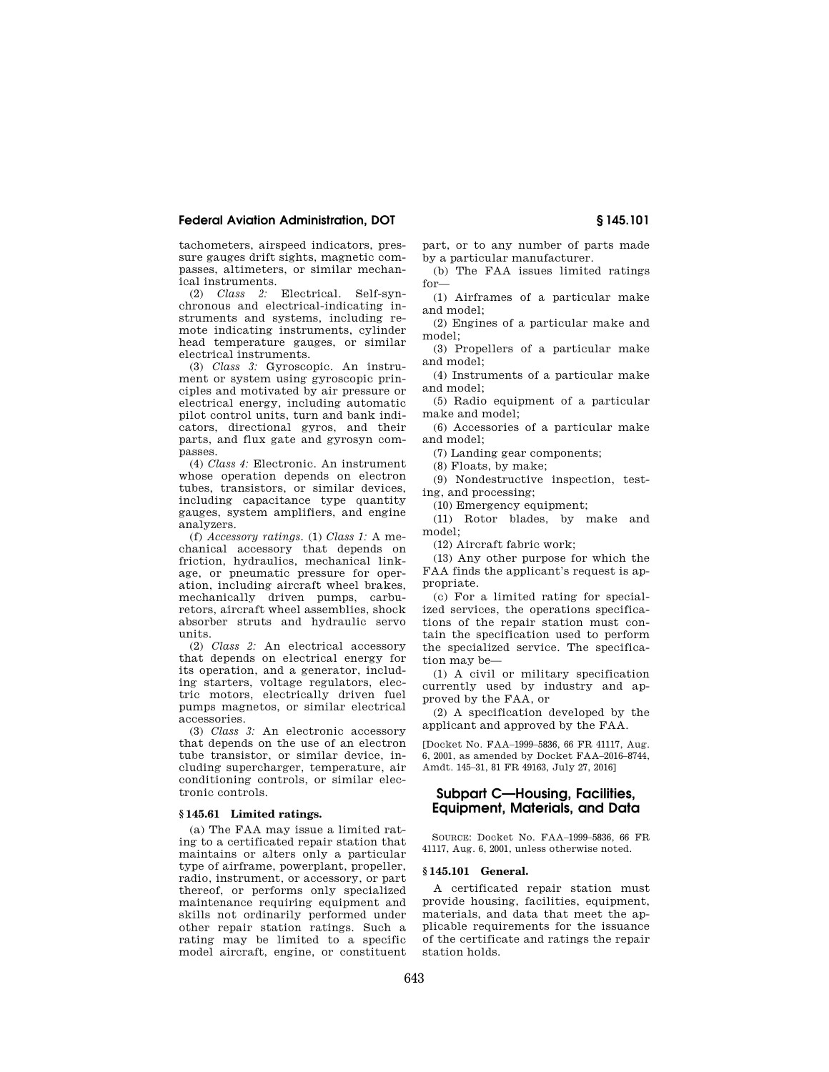tachometers, airspeed indicators, pressure gauges drift sights, magnetic com-

passes, altimeters, or similar mechanical instruments. (2) *Class 2:* Electrical. Self-synchronous and electrical-indicating in-

struments and systems, including remote indicating instruments, cylinder head temperature gauges, or similar electrical instruments.

(3) *Class 3:* Gyroscopic. An instrument or system using gyroscopic principles and motivated by air pressure or electrical energy, including automatic pilot control units, turn and bank indicators, directional gyros, and their parts, and flux gate and gyrosyn compasses.

(4) *Class 4:* Electronic. An instrument whose operation depends on electron tubes, transistors, or similar devices, including capacitance type quantity gauges, system amplifiers, and engine analyzers.

(f) *Accessory ratings.* (1) *Class 1:* A mechanical accessory that depends on friction, hydraulics, mechanical linkage, or pneumatic pressure for operation, including aircraft wheel brakes, mechanically driven pumps, carburetors, aircraft wheel assemblies, shock absorber struts and hydraulic servo units.

(2) *Class 2:* An electrical accessory that depends on electrical energy for its operation, and a generator, including starters, voltage regulators, electric motors, electrically driven fuel pumps magnetos, or similar electrical accessories.

(3) *Class 3:* An electronic accessory that depends on the use of an electron tube transistor, or similar device, including supercharger, temperature, air conditioning controls, or similar electronic controls.

### **§ 145.61 Limited ratings.**

(a) The FAA may issue a limited rating to a certificated repair station that maintains or alters only a particular type of airframe, powerplant, propeller, radio, instrument, or accessory, or part thereof, or performs only specialized maintenance requiring equipment and skills not ordinarily performed under other repair station ratings. Such a rating may be limited to a specific model aircraft, engine, or constituent part, or to any number of parts made by a particular manufacturer.

(b) The FAA issues limited ratings for—

(1) Airframes of a particular make and model;

(2) Engines of a particular make and model;

(3) Propellers of a particular make and model;

(4) Instruments of a particular make and model;

(5) Radio equipment of a particular make and model;

(6) Accessories of a particular make and model;

(7) Landing gear components;

(8) Floats, by make;

(9) Nondestructive inspection, testing, and processing;

(10) Emergency equipment;

(11) Rotor blades, by make and model;

(12) Aircraft fabric work;

(13) Any other purpose for which the FAA finds the applicant's request is appropriate.

(c) For a limited rating for specialized services, the operations specifications of the repair station must contain the specification used to perform the specialized service. The specification may be—

(1) A civil or military specification currently used by industry and approved by the FAA, or

(2) A specification developed by the applicant and approved by the FAA.

[Docket No. FAA–1999–5836, 66 FR 41117, Aug. 6, 2001, as amended by Docket FAA–2016–8744, Amdt. 145–31, 81 FR 49163, July 27, 2016]

# **Subpart C—Housing, Facilities, Equipment, Materials, and Data**

SOURCE: Docket No. FAA–1999–5836, 66 FR 41117, Aug. 6, 2001, unless otherwise noted.

# **§ 145.101 General.**

A certificated repair station must provide housing, facilities, equipment, materials, and data that meet the applicable requirements for the issuance of the certificate and ratings the repair station holds.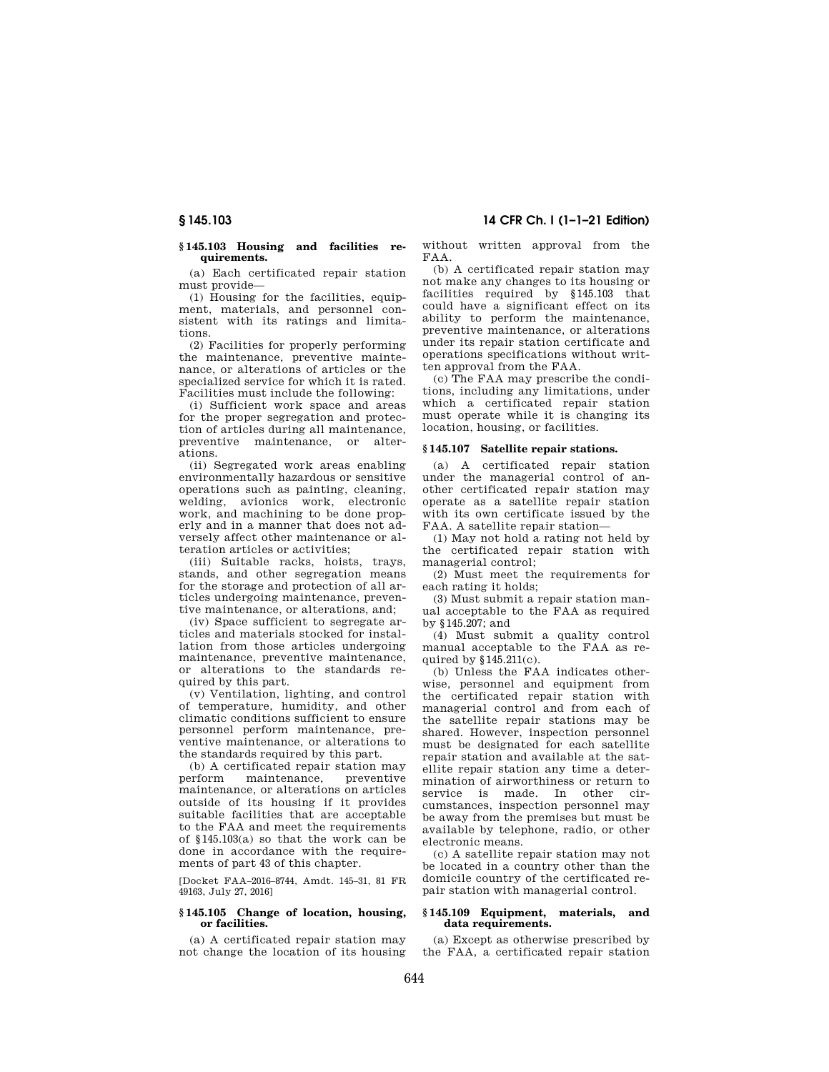## **§ 145.103 Housing and facilities requirements.**

(a) Each certificated repair station must provide—

(1) Housing for the facilities, equipment, materials, and personnel consistent with its ratings and limitations.

(2) Facilities for properly performing the maintenance, preventive maintenance, or alterations of articles or the specialized service for which it is rated. Facilities must include the following:

(i) Sufficient work space and areas for the proper segregation and protection of articles during all maintenance, preventive maintenance, or alterations.

(ii) Segregated work areas enabling environmentally hazardous or sensitive operations such as painting, cleaning, welding, avionics work, electronic work, and machining to be done properly and in a manner that does not adversely affect other maintenance or alteration articles or activities;

(iii) Suitable racks, hoists, trays, stands, and other segregation means for the storage and protection of all articles undergoing maintenance, preventive maintenance, or alterations, and;

(iv) Space sufficient to segregate articles and materials stocked for installation from those articles undergoing maintenance, preventive maintenance, or alterations to the standards required by this part.

(v) Ventilation, lighting, and control of temperature, humidity, and other climatic conditions sufficient to ensure personnel perform maintenance, preventive maintenance, or alterations to the standards required by this part.

(b) A certificated repair station may<br>erform maintenance, preventive perform maintenance, maintenance, or alterations on articles outside of its housing if it provides suitable facilities that are acceptable to the FAA and meet the requirements of §145.103(a) so that the work can be done in accordance with the requirements of part 43 of this chapter.

[Docket FAA–2016–8744, Amdt. 145–31, 81 FR 49163, July 27, 2016]

# **§ 145.105 Change of location, housing, or facilities.**

(a) A certificated repair station may not change the location of its housing

**§ 145.103 14 CFR Ch. I (1–1–21 Edition)** 

without written approval from the FAA.

(b) A certificated repair station may not make any changes to its housing or facilities required by §145.103 that could have a significant effect on its ability to perform the maintenance, preventive maintenance, or alterations under its repair station certificate and operations specifications without written approval from the FAA.

(c) The FAA may prescribe the conditions, including any limitations, under which a certificated repair station must operate while it is changing its location, housing, or facilities.

### **§ 145.107 Satellite repair stations.**

(a) A certificated repair station under the managerial control of another certificated repair station may operate as a satellite repair station with its own certificate issued by the FAA. A satellite repair station—

(1) May not hold a rating not held by the certificated repair station with managerial control;

(2) Must meet the requirements for each rating it holds;

(3) Must submit a repair station manual acceptable to the FAA as required by §145.207; and

(4) Must submit a quality control manual acceptable to the FAA as required by §145.211(c).

(b) Unless the FAA indicates otherwise, personnel and equipment from the certificated repair station with managerial control and from each of the satellite repair stations may be shared. However, inspection personnel must be designated for each satellite repair station and available at the satellite repair station any time a determination of airworthiness or return to service is made. In other circumstances, inspection personnel may be away from the premises but must be available by telephone, radio, or other electronic means.

(c) A satellite repair station may not be located in a country other than the domicile country of the certificated repair station with managerial control.

#### **§ 145.109 Equipment, materials, and data requirements.**

(a) Except as otherwise prescribed by the FAA, a certificated repair station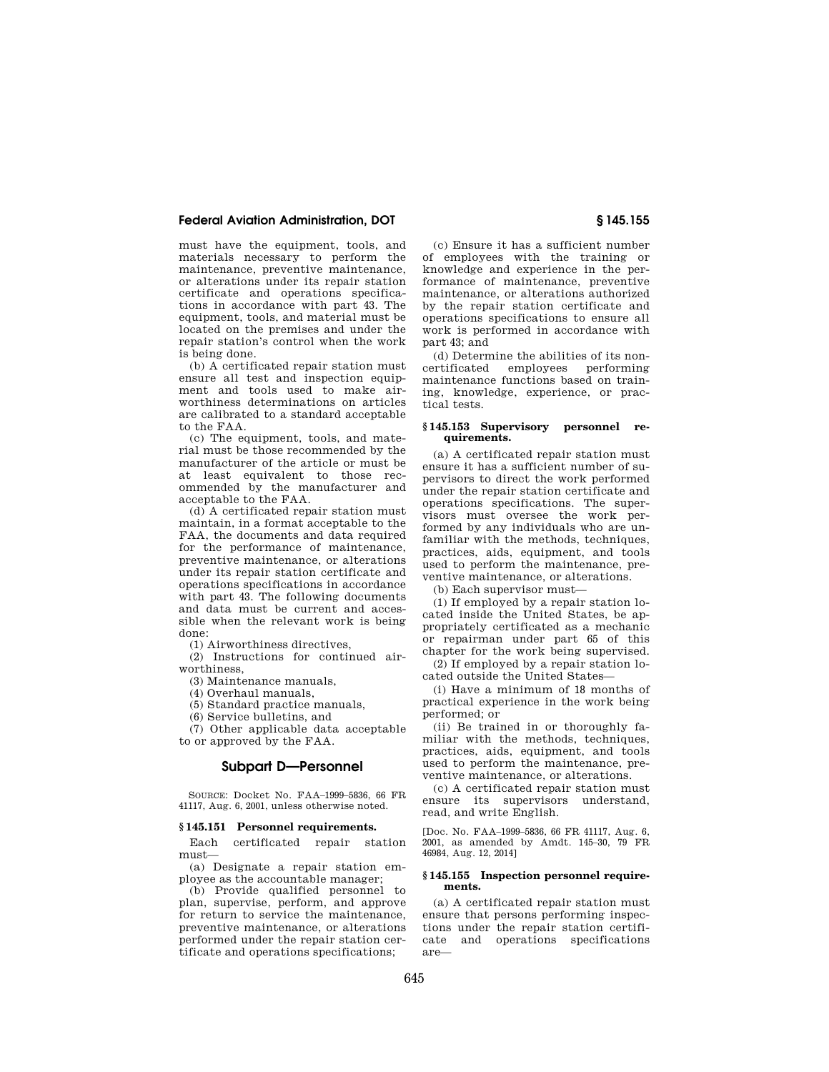must have the equipment, tools, and materials necessary to perform the maintenance, preventive maintenance, or alterations under its repair station certificate and operations specifications in accordance with part 43. The equipment, tools, and material must be located on the premises and under the repair station's control when the work is being done.

(b) A certificated repair station must ensure all test and inspection equipment and tools used to make airworthiness determinations on articles are calibrated to a standard acceptable to the FAA.

(c) The equipment, tools, and material must be those recommended by the manufacturer of the article or must be at least equivalent to those recommended by the manufacturer and acceptable to the FAA.

(d) A certificated repair station must maintain, in a format acceptable to the FAA, the documents and data required for the performance of maintenance, preventive maintenance, or alterations under its repair station certificate and operations specifications in accordance with part 43. The following documents and data must be current and accessible when the relevant work is being done:

(1) Airworthiness directives,

(2) Instructions for continued airworthiness,

(3) Maintenance manuals,

(4) Overhaul manuals,

(5) Standard practice manuals,

(6) Service bulletins, and

(7) Other applicable data acceptable to or approved by the FAA.

# **Subpart D—Personnel**

SOURCE: Docket No. FAA–1999–5836, 66 FR 41117, Aug. 6, 2001, unless otherwise noted.

# **§ 145.151 Personnel requirements.**

Each certificated repair station must—

(a) Designate a repair station employee as the accountable manager;

(b) Provide qualified personnel to plan, supervise, perform, and approve for return to service the maintenance, preventive maintenance, or alterations performed under the repair station certificate and operations specifications;

(c) Ensure it has a sufficient number of employees with the training or knowledge and experience in the performance of maintenance, preventive maintenance, or alterations authorized by the repair station certificate and operations specifications to ensure all work is performed in accordance with part 43; and

(d) Determine the abilities of its noncertificated employees performing maintenance functions based on training, knowledge, experience, or practical tests.

#### **§ 145.153 Supervisory personnel requirements.**

(a) A certificated repair station must ensure it has a sufficient number of supervisors to direct the work performed under the repair station certificate and operations specifications. The supervisors must oversee the work performed by any individuals who are unfamiliar with the methods, techniques, practices, aids, equipment, and tools used to perform the maintenance, preventive maintenance, or alterations.

(b) Each supervisor must—

(1) If employed by a repair station located inside the United States, be appropriately certificated as a mechanic or repairman under part 65 of this chapter for the work being supervised.

(2) If employed by a repair station located outside the United States—

(i) Have a minimum of 18 months of practical experience in the work being performed; or

(ii) Be trained in or thoroughly familiar with the methods, techniques, practices, aids, equipment, and tools used to perform the maintenance, preventive maintenance, or alterations.

(c) A certificated repair station must ensure its supervisors understand, read, and write English.

[Doc. No. FAA–1999–5836, 66 FR 41117, Aug. 6, 2001, as amended by Amdt. 145–30, 79 FR 46984, Aug. 12, 2014]

#### **§ 145.155 Inspection personnel requirements.**

(a) A certificated repair station must ensure that persons performing inspections under the repair station certificate and operations specifications are—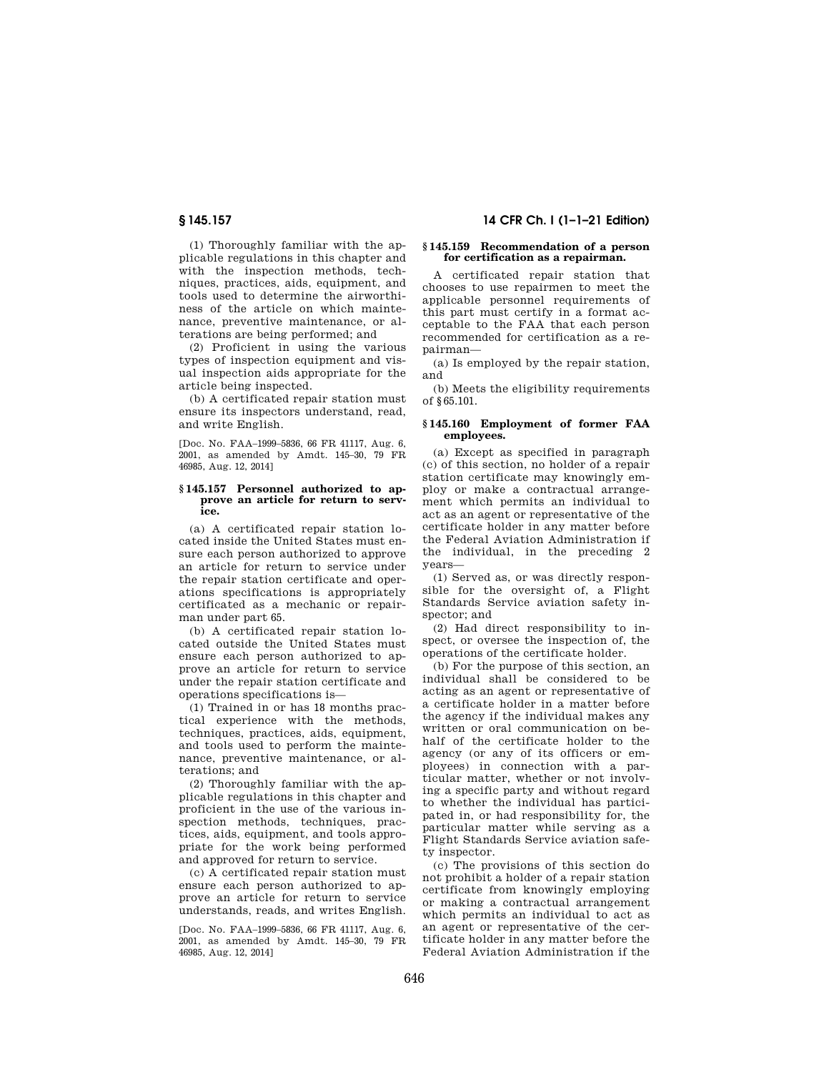(1) Thoroughly familiar with the applicable regulations in this chapter and with the inspection methods, techniques, practices, aids, equipment, and tools used to determine the airworthiness of the article on which maintenance, preventive maintenance, or alterations are being performed; and

(2) Proficient in using the various types of inspection equipment and visual inspection aids appropriate for the article being inspected.

(b) A certificated repair station must ensure its inspectors understand, read, and write English.

[Doc. No. FAA–1999–5836, 66 FR 41117, Aug. 6, 2001, as amended by Amdt. 145–30, 79 FR 46985, Aug. 12, 2014]

### **§ 145.157 Personnel authorized to approve an article for return to service.**

(a) A certificated repair station located inside the United States must ensure each person authorized to approve an article for return to service under the repair station certificate and operations specifications is appropriately certificated as a mechanic or repairman under part 65.

(b) A certificated repair station located outside the United States must ensure each person authorized to approve an article for return to service under the repair station certificate and operations specifications is—

(1) Trained in or has 18 months practical experience with the methods, techniques, practices, aids, equipment, and tools used to perform the maintenance, preventive maintenance, or alterations; and

(2) Thoroughly familiar with the applicable regulations in this chapter and proficient in the use of the various inspection methods, techniques, practices, aids, equipment, and tools appropriate for the work being performed and approved for return to service.

(c) A certificated repair station must ensure each person authorized to approve an article for return to service understands, reads, and writes English.

[Doc. No. FAA–1999–5836, 66 FR 41117, Aug. 6, 2001, as amended by Amdt. 145–30, 79 FR 46985, Aug. 12, 2014]

# **§ 145.157 14 CFR Ch. I (1–1–21 Edition)**

## **§ 145.159 Recommendation of a person for certification as a repairman.**

A certificated repair station that chooses to use repairmen to meet the applicable personnel requirements of this part must certify in a format acceptable to the FAA that each person recommended for certification as a repairman—

(a) Is employed by the repair station, and

(b) Meets the eligibility requirements of §65.101.

### **§ 145.160 Employment of former FAA employees.**

(a) Except as specified in paragraph (c) of this section, no holder of a repair station certificate may knowingly employ or make a contractual arrangement which permits an individual to act as an agent or representative of the certificate holder in any matter before the Federal Aviation Administration if the individual, in the preceding 2 years—

(1) Served as, or was directly responsible for the oversight of, a Flight Standards Service aviation safety inspector; and

(2) Had direct responsibility to inspect, or oversee the inspection of, the operations of the certificate holder.

(b) For the purpose of this section, an individual shall be considered to be acting as an agent or representative of a certificate holder in a matter before the agency if the individual makes any written or oral communication on behalf of the certificate holder to the agency (or any of its officers or employees) in connection with a particular matter, whether or not involving a specific party and without regard to whether the individual has participated in, or had responsibility for, the particular matter while serving as a Flight Standards Service aviation safety inspector.

(c) The provisions of this section do not prohibit a holder of a repair station certificate from knowingly employing or making a contractual arrangement which permits an individual to act as an agent or representative of the certificate holder in any matter before the Federal Aviation Administration if the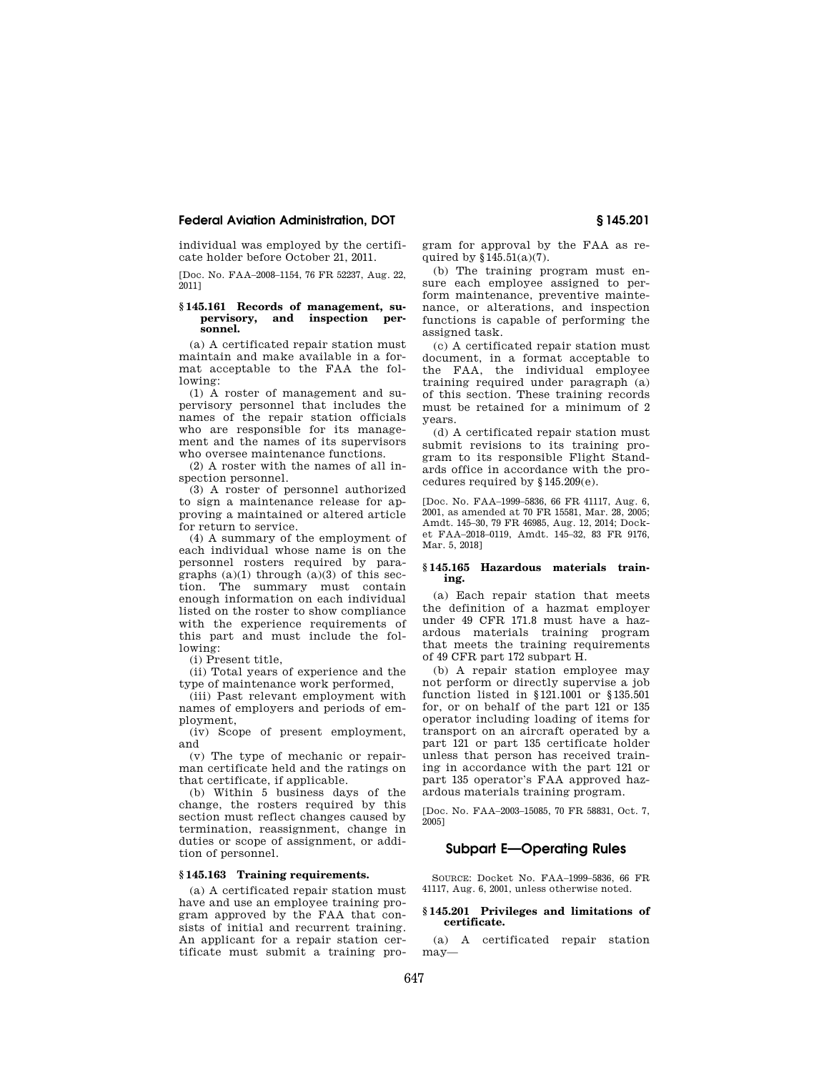individual was employed by the certificate holder before October 21, 2011.

[Doc. No. FAA–2008–1154, 76 FR 52237, Aug. 22, 2011]

#### **§ 145.161 Records of management, supervisory, and inspection personnel.**

(a) A certificated repair station must maintain and make available in a format acceptable to the FAA the following:

(1) A roster of management and supervisory personnel that includes the names of the repair station officials who are responsible for its management and the names of its supervisors who oversee maintenance functions.

(2) A roster with the names of all inspection personnel.

(3) A roster of personnel authorized to sign a maintenance release for approving a maintained or altered article for return to service.

(4) A summary of the employment of each individual whose name is on the personnel rosters required by paragraphs  $(a)(1)$  through  $(a)(3)$  of this section. The summary must contain enough information on each individual listed on the roster to show compliance with the experience requirements of this part and must include the following:

(i) Present title,

(ii) Total years of experience and the type of maintenance work performed,

(iii) Past relevant employment with names of employers and periods of employment,

(iv) Scope of present employment, and

(v) The type of mechanic or repairman certificate held and the ratings on that certificate, if applicable.

(b) Within 5 business days of the change, the rosters required by this section must reflect changes caused by termination, reassignment, change in duties or scope of assignment, or addition of personnel.

### **§ 145.163 Training requirements.**

(a) A certificated repair station must have and use an employee training program approved by the FAA that consists of initial and recurrent training. An applicant for a repair station certificate must submit a training program for approval by the FAA as required by §145.51(a)(7).

(b) The training program must ensure each employee assigned to perform maintenance, preventive maintenance, or alterations, and inspection functions is capable of performing the assigned task.

(c) A certificated repair station must document, in a format acceptable to the FAA, the individual employee training required under paragraph (a) of this section. These training records must be retained for a minimum of 2 years.

(d) A certificated repair station must submit revisions to its training program to its responsible Flight Standards office in accordance with the procedures required by §145.209(e).

[Doc. No. FAA–1999–5836, 66 FR 41117, Aug. 6, 2001, as amended at 70 FR 15581, Mar. 28, 2005; Amdt. 145–30, 79 FR 46985, Aug. 12, 2014; Docket FAA–2018–0119, Amdt. 145–32, 83 FR 9176, Mar. 5, 2018]

## **§ 145.165 Hazardous materials training.**

(a) Each repair station that meets the definition of a hazmat employer under 49 CFR 171.8 must have a hazardous materials training program that meets the training requirements of 49 CFR part 172 subpart H.

(b) A repair station employee may not perform or directly supervise a job function listed in §121.1001 or §135.501 for, or on behalf of the part 121 or 135 operator including loading of items for transport on an aircraft operated by a part 121 or part 135 certificate holder unless that person has received training in accordance with the part 121 or part 135 operator's FAA approved hazardous materials training program.

[Doc. No. FAA–2003–15085, 70 FR 58831, Oct. 7, 2005]

# **Subpart E—Operating Rules**

SOURCE: Docket No. FAA–1999–5836, 66 FR 41117, Aug. 6, 2001, unless otherwise noted.

### **§ 145.201 Privileges and limitations of certificate.**

(a) A certificated repair station may—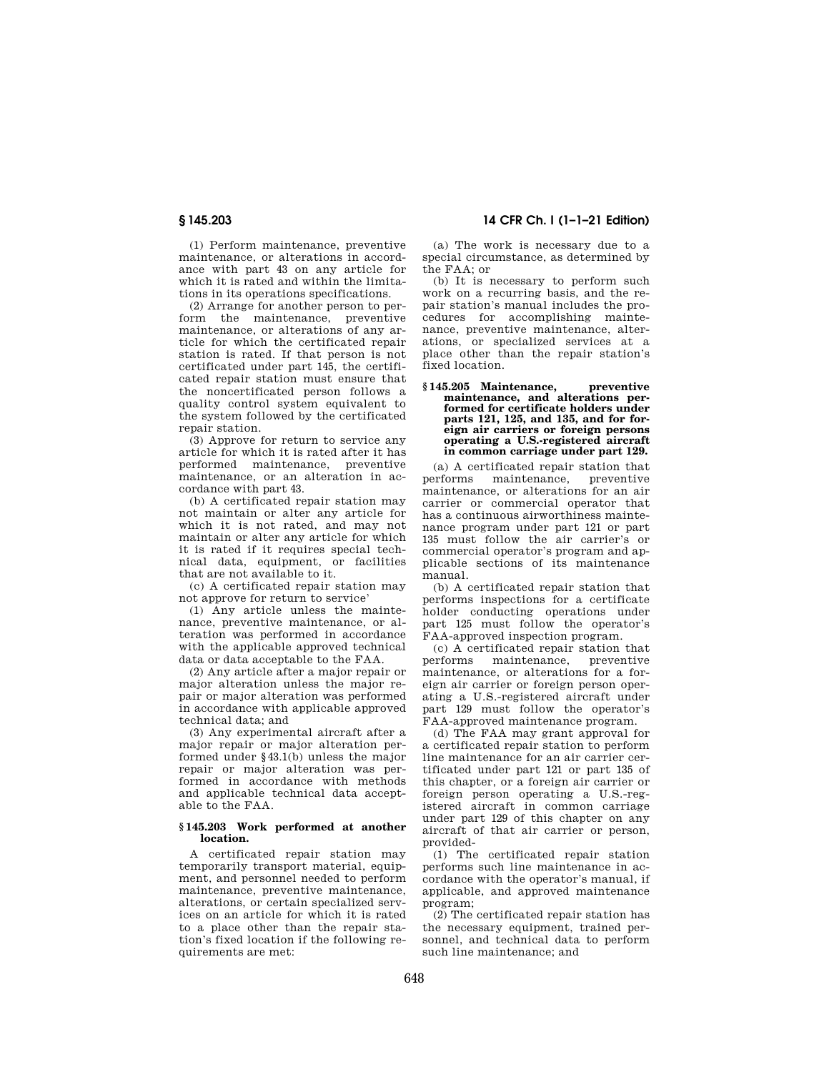**§ 145.203 14 CFR Ch. I (1–1–21 Edition)** 

(1) Perform maintenance, preventive maintenance, or alterations in accordance with part 43 on any article for which it is rated and within the limitations in its operations specifications.

(2) Arrange for another person to perform the maintenance, preventive maintenance, or alterations of any article for which the certificated repair station is rated. If that person is not certificated under part 145, the certificated repair station must ensure that the noncertificated person follows a quality control system equivalent to the system followed by the certificated repair station.

(3) Approve for return to service any article for which it is rated after it has performed maintenance, preventive maintenance, or an alteration in accordance with part 43.

(b) A certificated repair station may not maintain or alter any article for which it is not rated, and may not maintain or alter any article for which it is rated if it requires special technical data, equipment, or facilities that are not available to it.

(c) A certificated repair station may not approve for return to service'

(1) Any article unless the maintenance, preventive maintenance, or alteration was performed in accordance with the applicable approved technical data or data acceptable to the FAA.

(2) Any article after a major repair or major alteration unless the major repair or major alteration was performed in accordance with applicable approved technical data; and

(3) Any experimental aircraft after a major repair or major alteration performed under §43.1(b) unless the major repair or major alteration was performed in accordance with methods and applicable technical data acceptable to the FAA.

### **§ 145.203 Work performed at another location.**

A certificated repair station may temporarily transport material, equipment, and personnel needed to perform maintenance, preventive maintenance, alterations, or certain specialized services on an article for which it is rated to a place other than the repair station's fixed location if the following requirements are met:

(a) The work is necessary due to a special circumstance, as determined by the FAA; or

(b) It is necessary to perform such work on a recurring basis, and the repair station's manual includes the procedures for accomplishing maintenance, preventive maintenance, alterations, or specialized services at a place other than the repair station's fixed location.

# **§ 145.205 Maintenance, preventive maintenance, and alterations performed for certificate holders under parts 121, 125, and 135, and for foreign air carriers or foreign persons operating a U.S.-registered aircraft in common carriage under part 129.**

(a) A certificated repair station that performs maintenance, preventive maintenance, or alterations for an air carrier or commercial operator that has a continuous airworthiness maintenance program under part 121 or part 135 must follow the air carrier's or commercial operator's program and applicable sections of its maintenance manual.

(b) A certificated repair station that performs inspections for a certificate holder conducting operations under part 125 must follow the operator's FAA-approved inspection program.

(c) A certificated repair station that maintenance, maintenance, or alterations for a foreign air carrier or foreign person operating a U.S.-registered aircraft under part 129 must follow the operator's FAA-approved maintenance program.

(d) The FAA may grant approval for a certificated repair station to perform line maintenance for an air carrier certificated under part 121 or part 135 of this chapter, or a foreign air carrier or foreign person operating a U.S.-registered aircraft in common carriage under part 129 of this chapter on any aircraft of that air carrier or person, provided-

(1) The certificated repair station performs such line maintenance in accordance with the operator's manual, if applicable, and approved maintenance program;

(2) The certificated repair station has the necessary equipment, trained personnel, and technical data to perform such line maintenance; and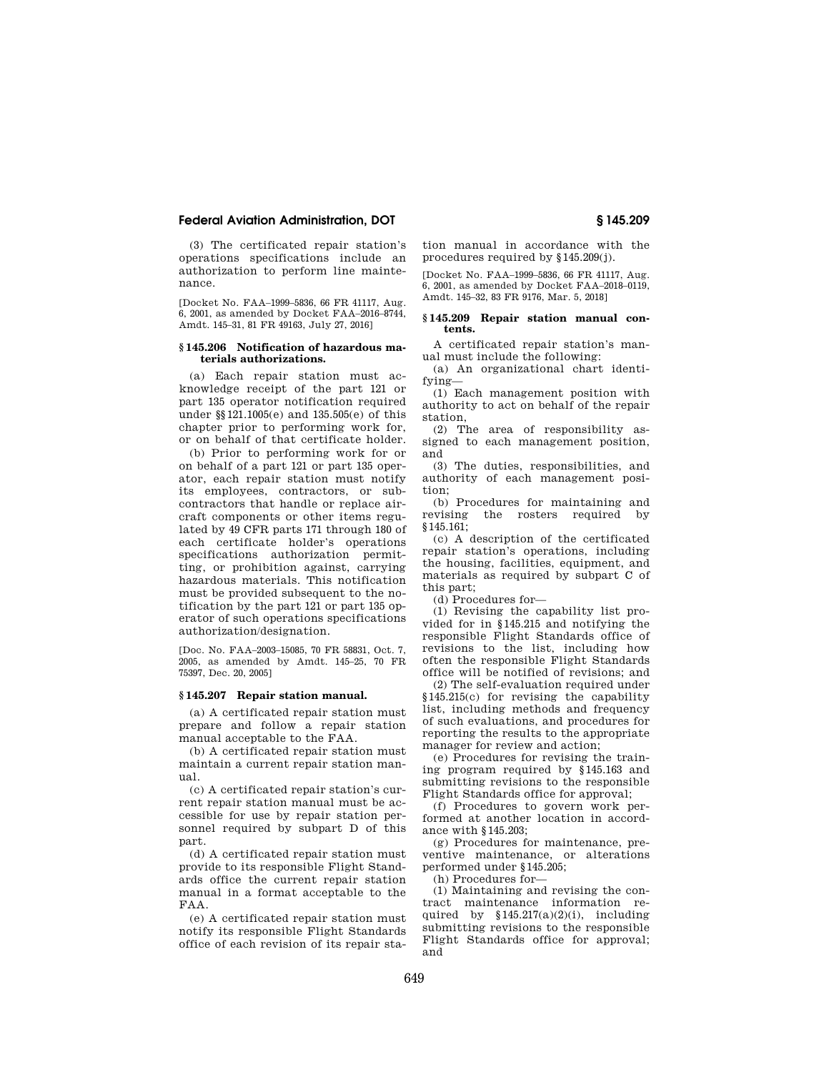(3) The certificated repair station's operations specifications include an authorization to perform line maintenance.

[Docket No. FAA–1999–5836, 66 FR 41117, Aug. 6, 2001, as amended by Docket FAA–2016–8744, Amdt. 145–31, 81 FR 49163, July 27, 2016]

## **§ 145.206 Notification of hazardous materials authorizations.**

(a) Each repair station must acknowledge receipt of the part 121 or part 135 operator notification required under §§121.1005(e) and 135.505(e) of this chapter prior to performing work for, or on behalf of that certificate holder.

(b) Prior to performing work for or on behalf of a part 121 or part 135 operator, each repair station must notify its employees, contractors, or subcontractors that handle or replace aircraft components or other items regulated by 49 CFR parts 171 through 180 of each certificate holder's operations specifications authorization permitting, or prohibition against, carrying hazardous materials. This notification must be provided subsequent to the notification by the part 121 or part 135 operator of such operations specifications authorization/designation.

[Doc. No. FAA–2003–15085, 70 FR 58831, Oct. 7, 2005, as amended by Amdt. 145–25, 70 FR 75397, Dec. 20, 2005]

### **§ 145.207 Repair station manual.**

(a) A certificated repair station must prepare and follow a repair station manual acceptable to the FAA.

(b) A certificated repair station must maintain a current repair station manual.

(c) A certificated repair station's current repair station manual must be accessible for use by repair station personnel required by subpart D of this part.

(d) A certificated repair station must provide to its responsible Flight Standards office the current repair station manual in a format acceptable to the FAA.

(e) A certificated repair station must notify its responsible Flight Standards office of each revision of its repair station manual in accordance with the procedures required by §145.209(j).

[Docket No. FAA–1999–5836, 66 FR 41117, Aug. 6, 2001, as amended by Docket FAA–2018–0119, Amdt. 145–32, 83 FR 9176, Mar. 5, 2018]

## **§ 145.209 Repair station manual contents.**

A certificated repair station's manual must include the following:

(a) An organizational chart identifying—

(1) Each management position with authority to act on behalf of the repair station,

(2) The area of responsibility assigned to each management position, and

(3) The duties, responsibilities, and authority of each management position;

(b) Procedures for maintaining and revising the rosters required by §145.161;

(c) A description of the certificated repair station's operations, including the housing, facilities, equipment, and materials as required by subpart C of this part;

(d) Procedures for—

(1) Revising the capability list provided for in §145.215 and notifying the responsible Flight Standards office of revisions to the list, including how often the responsible Flight Standards office will be notified of revisions; and

(2) The self-evaluation required under §145.215(c) for revising the capability list, including methods and frequency of such evaluations, and procedures for reporting the results to the appropriate manager for review and action;

(e) Procedures for revising the training program required by §145.163 and submitting revisions to the responsible Flight Standards office for approval;

(f) Procedures to govern work performed at another location in accordance with §145.203;

(g) Procedures for maintenance, preventive maintenance, or alterations performed under §145.205;

(h) Procedures for—

(1) Maintaining and revising the contract maintenance information required by  $$145.217(a)(2)(i)$ , including submitting revisions to the responsible Flight Standards office for approval; and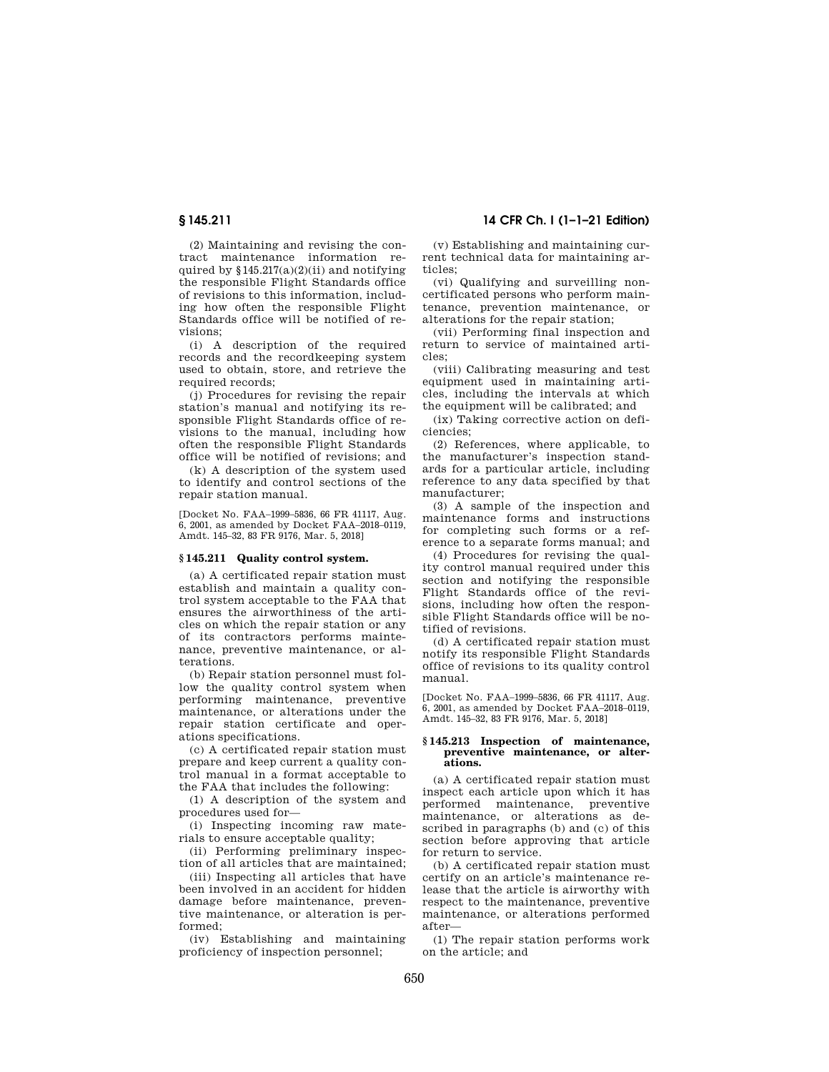# **§ 145.211 14 CFR Ch. I (1–1–21 Edition)**

(2) Maintaining and revising the contract maintenance information required by  $$145.217(a)(2)(ii)$  and notifying the responsible Flight Standards office of revisions to this information, including how often the responsible Flight Standards office will be notified of revisions;

(i) A description of the required records and the recordkeeping system used to obtain, store, and retrieve the required records:

(j) Procedures for revising the repair station's manual and notifying its responsible Flight Standards office of revisions to the manual, including how often the responsible Flight Standards office will be notified of revisions; and

(k) A description of the system used to identify and control sections of the repair station manual.

[Docket No. FAA–1999–5836, 66 FR 41117, Aug. 6, 2001, as amended by Docket FAA–2018–0119, Amdt. 145–32, 83 FR 9176, Mar. 5, 2018]

### **§ 145.211 Quality control system.**

(a) A certificated repair station must establish and maintain a quality control system acceptable to the FAA that ensures the airworthiness of the articles on which the repair station or any of its contractors performs maintenance, preventive maintenance, or alterations.

(b) Repair station personnel must follow the quality control system when performing maintenance, preventive maintenance, or alterations under the repair station certificate and operations specifications.

(c) A certificated repair station must prepare and keep current a quality control manual in a format acceptable to the FAA that includes the following:

(1) A description of the system and procedures used for—

(i) Inspecting incoming raw materials to ensure acceptable quality;

(ii) Performing preliminary inspection of all articles that are maintained;

(iii) Inspecting all articles that have been involved in an accident for hidden damage before maintenance, preventive maintenance, or alteration is performed;

(iv) Establishing and maintaining proficiency of inspection personnel;

(v) Establishing and maintaining current technical data for maintaining articles;

(vi) Qualifying and surveilling noncertificated persons who perform maintenance, prevention maintenance, or alterations for the repair station;

(vii) Performing final inspection and return to service of maintained articles;

(viii) Calibrating measuring and test equipment used in maintaining articles, including the intervals at which the equipment will be calibrated; and

(ix) Taking corrective action on deficiencies;

(2) References, where applicable, to the manufacturer's inspection standards for a particular article, including reference to any data specified by that manufacturer;

(3) A sample of the inspection and maintenance forms and instructions for completing such forms or a reference to a separate forms manual; and

(4) Procedures for revising the quality control manual required under this section and notifying the responsible Flight Standards office of the revisions, including how often the responsible Flight Standards office will be notified of revisions.

(d) A certificated repair station must notify its responsible Flight Standards office of revisions to its quality control manual.

[Docket No. FAA–1999–5836, 66 FR 41117, Aug. 6, 2001, as amended by Docket FAA–2018–0119, Amdt. 145–32, 83 FR 9176, Mar. 5, 2018]

### **§ 145.213 Inspection of maintenance, preventive maintenance, or alterations.**

(a) A certificated repair station must inspect each article upon which it has performed maintenance, preventive maintenance, or alterations as described in paragraphs (b) and (c) of this section before approving that article for return to service.

(b) A certificated repair station must certify on an article's maintenance release that the article is airworthy with respect to the maintenance, preventive maintenance, or alterations performed after—

(1) The repair station performs work on the article; and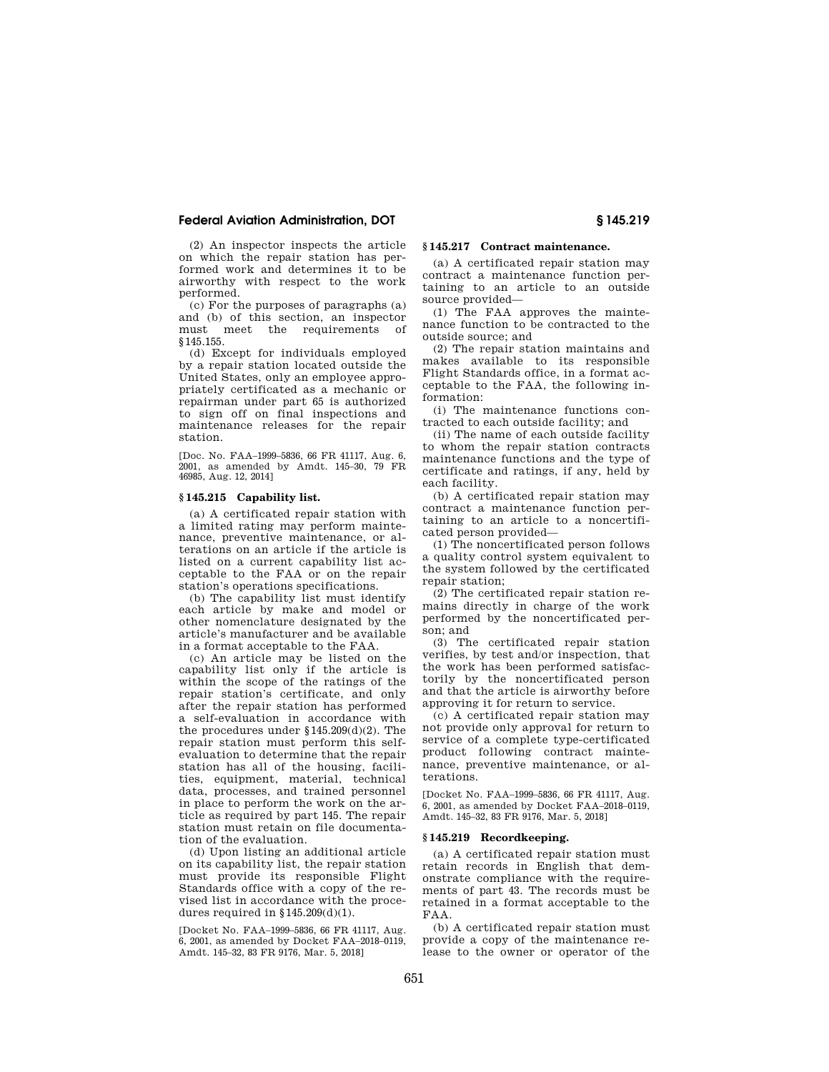(2) An inspector inspects the article on which the repair station has performed work and determines it to be airworthy with respect to the work performed.

(c) For the purposes of paragraphs (a) and (b) of this section, an inspector meet the requirements of §145.155.

(d) Except for individuals employed by a repair station located outside the United States, only an employee appropriately certificated as a mechanic or repairman under part 65 is authorized to sign off on final inspections and maintenance releases for the repair station.

[Doc. No. FAA–1999–5836, 66 FR 41117, Aug. 6, 2001, as amended by Amdt. 145–30, 79 FR 46985, Aug. 12, 2014]

# **§ 145.215 Capability list.**

(a) A certificated repair station with a limited rating may perform maintenance, preventive maintenance, or alterations on an article if the article is listed on a current capability list acceptable to the FAA or on the repair station's operations specifications.

(b) The capability list must identify each article by make and model or other nomenclature designated by the article's manufacturer and be available in a format acceptable to the FAA.

(c) An article may be listed on the capability list only if the article is within the scope of the ratings of the repair station's certificate, and only after the repair station has performed a self-evaluation in accordance with the procedures under §145.209(d)(2). The repair station must perform this selfevaluation to determine that the repair station has all of the housing, facilities, equipment, material, technical data, processes, and trained personnel in place to perform the work on the article as required by part 145. The repair station must retain on file documentation of the evaluation.

(d) Upon listing an additional article on its capability list, the repair station must provide its responsible Flight Standards office with a copy of the revised list in accordance with the procedures required in  $$145.209(d)(1)$ .

[Docket No. FAA–1999–5836, 66 FR 41117, Aug. 6, 2001, as amended by Docket FAA–2018–0119, Amdt. 145–32, 83 FR 9176, Mar. 5, 2018]

# **§ 145.217 Contract maintenance.**

(a) A certificated repair station may contract a maintenance function pertaining to an article to an outside source provided—

(1) The FAA approves the maintenance function to be contracted to the outside source; and

(2) The repair station maintains and makes available to its responsible Flight Standards office, in a format acceptable to the FAA, the following information:

(i) The maintenance functions contracted to each outside facility; and

(ii) The name of each outside facility to whom the repair station contracts maintenance functions and the type of certificate and ratings, if any, held by each facility.

(b) A certificated repair station may contract a maintenance function pertaining to an article to a noncertificated person provided—

(1) The noncertificated person follows a quality control system equivalent to the system followed by the certificated repair station;

(2) The certificated repair station remains directly in charge of the work performed by the noncertificated person; and

(3) The certificated repair station verifies, by test and/or inspection, that the work has been performed satisfactorily by the noncertificated person and that the article is airworthy before approving it for return to service.

(c) A certificated repair station may not provide only approval for return to service of a complete type-certificated product following contract maintenance, preventive maintenance, or alterations.

[Docket No. FAA–1999–5836, 66 FR 41117, Aug. 6, 2001, as amended by Docket FAA–2018–0119, Amdt. 145–32, 83 FR 9176, Mar. 5, 2018]

#### **§ 145.219 Recordkeeping.**

(a) A certificated repair station must retain records in English that demonstrate compliance with the requirements of part 43. The records must be retained in a format acceptable to the FAA.

(b) A certificated repair station must provide a copy of the maintenance release to the owner or operator of the